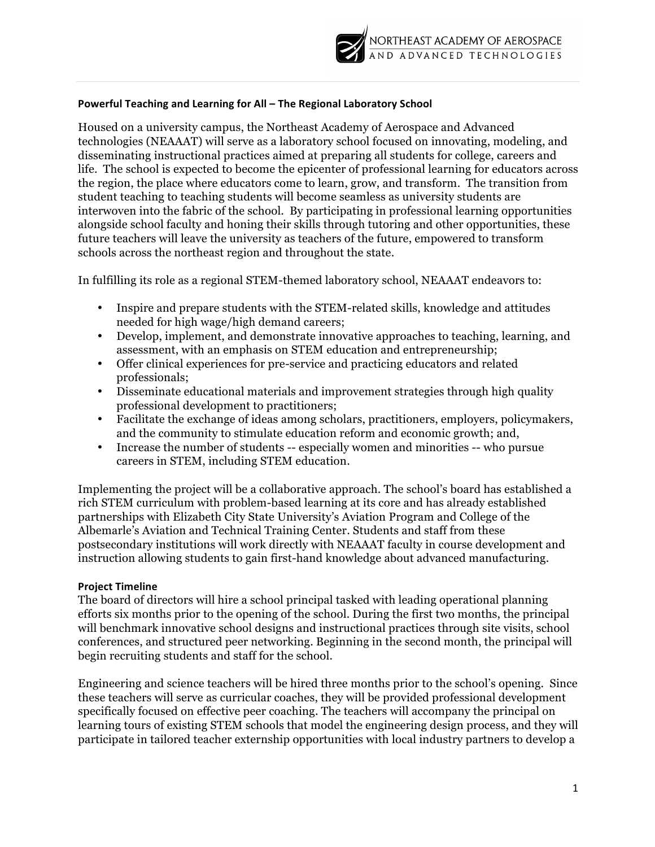

## **Powerful Teaching and Learning for All – The Regional Laboratory School**

Housed on a university campus, the Northeast Academy of Aerospace and Advanced technologies (NEAAAT) will serve as a laboratory school focused on innovating, modeling, and disseminating instructional practices aimed at preparing all students for college, careers and life. The school is expected to become the epicenter of professional learning for educators across the region, the place where educators come to learn, grow, and transform. The transition from student teaching to teaching students will become seamless as university students are interwoven into the fabric of the school. By participating in professional learning opportunities alongside school faculty and honing their skills through tutoring and other opportunities, these future teachers will leave the university as teachers of the future, empowered to transform schools across the northeast region and throughout the state.

In fulfilling its role as a regional STEM-themed laboratory school, NEAAAT endeavors to:

- Inspire and prepare students with the STEM-related skills, knowledge and attitudes needed for high wage/high demand careers;
- Develop, implement, and demonstrate innovative approaches to teaching, learning, and assessment, with an emphasis on STEM education and entrepreneurship;
- Offer clinical experiences for pre-service and practicing educators and related professionals;
- Disseminate educational materials and improvement strategies through high quality professional development to practitioners;
- Facilitate the exchange of ideas among scholars, practitioners, employers, policymakers, and the community to stimulate education reform and economic growth; and,
- Increase the number of students -- especially women and minorities -- who pursue careers in STEM, including STEM education.

Implementing the project will be a collaborative approach. The school's board has established a rich STEM curriculum with problem-based learning at its core and has already established partnerships with Elizabeth City State University's Aviation Program and College of the Albemarle's Aviation and Technical Training Center. Students and staff from these postsecondary institutions will work directly with NEAAAT faculty in course development and instruction allowing students to gain first-hand knowledge about advanced manufacturing.

## **Project Timeline**

The board of directors will hire a school principal tasked with leading operational planning efforts six months prior to the opening of the school. During the first two months, the principal will benchmark innovative school designs and instructional practices through site visits, school conferences, and structured peer networking. Beginning in the second month, the principal will begin recruiting students and staff for the school.

Engineering and science teachers will be hired three months prior to the school's opening. Since these teachers will serve as curricular coaches, they will be provided professional development specifically focused on effective peer coaching. The teachers will accompany the principal on learning tours of existing STEM schools that model the engineering design process, and they will participate in tailored teacher externship opportunities with local industry partners to develop a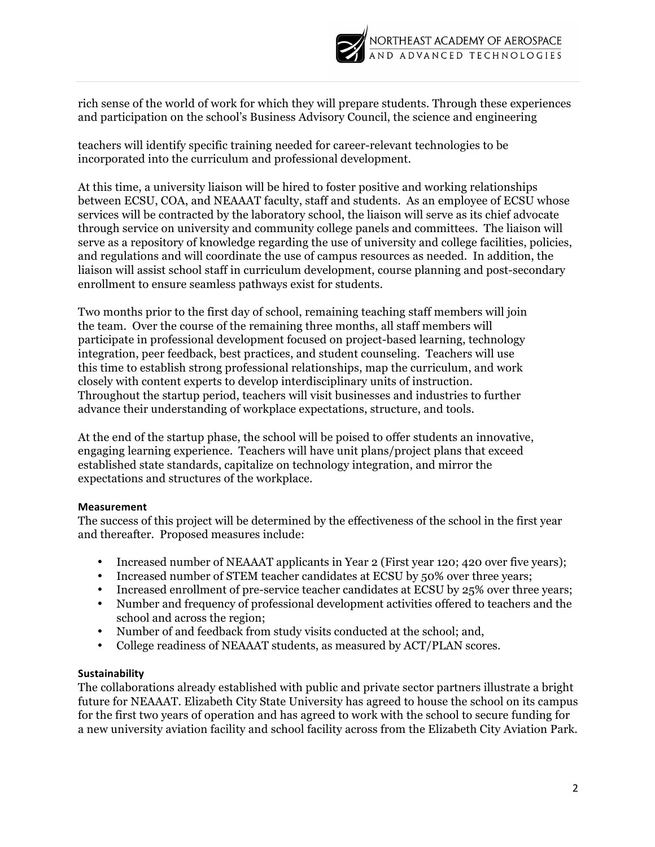

rich sense of the world of work for which they will prepare students. Through these experiences and participation on the school's Business Advisory Council, the science and engineering

teachers will identify specific training needed for career-relevant technologies to be incorporated into the curriculum and professional development.

At this time, a university liaison will be hired to foster positive and working relationships between ECSU, COA, and NEAAAT faculty, staff and students. As an employee of ECSU whose services will be contracted by the laboratory school, the liaison will serve as its chief advocate through service on university and community college panels and committees. The liaison will serve as a repository of knowledge regarding the use of university and college facilities, policies, and regulations and will coordinate the use of campus resources as needed. In addition, the liaison will assist school staff in curriculum development, course planning and post-secondary enrollment to ensure seamless pathways exist for students.

Two months prior to the first day of school, remaining teaching staff members will join the team. Over the course of the remaining three months, all staff members will participate in professional development focused on project-based learning, technology integration, peer feedback, best practices, and student counseling. Teachers will use this time to establish strong professional relationships, map the curriculum, and work closely with content experts to develop interdisciplinary units of instruction. Throughout the startup period, teachers will visit businesses and industries to further advance their understanding of workplace expectations, structure, and tools.

At the end of the startup phase, the school will be poised to offer students an innovative, engaging learning experience. Teachers will have unit plans/project plans that exceed established state standards, capitalize on technology integration, and mirror the expectations and structures of the workplace.

## **Measurement**

The success of this project will be determined by the effectiveness of the school in the first year and thereafter. Proposed measures include:

- Increased number of NEAAAT applicants in Year 2 (First year 120; 420 over five years);
- Increased number of STEM teacher candidates at ECSU by 50% over three years;
- Increased enrollment of pre-service teacher candidates at ECSU by 25% over three years;
- Number and frequency of professional development activities offered to teachers and the school and across the region;
- Number of and feedback from study visits conducted at the school; and,
- College readiness of NEAAAT students, as measured by ACT/PLAN scores.

## **Sustainability**

The collaborations already established with public and private sector partners illustrate a bright future for NEAAAT. Elizabeth City State University has agreed to house the school on its campus for the first two years of operation and has agreed to work with the school to secure funding for a new university aviation facility and school facility across from the Elizabeth City Aviation Park.